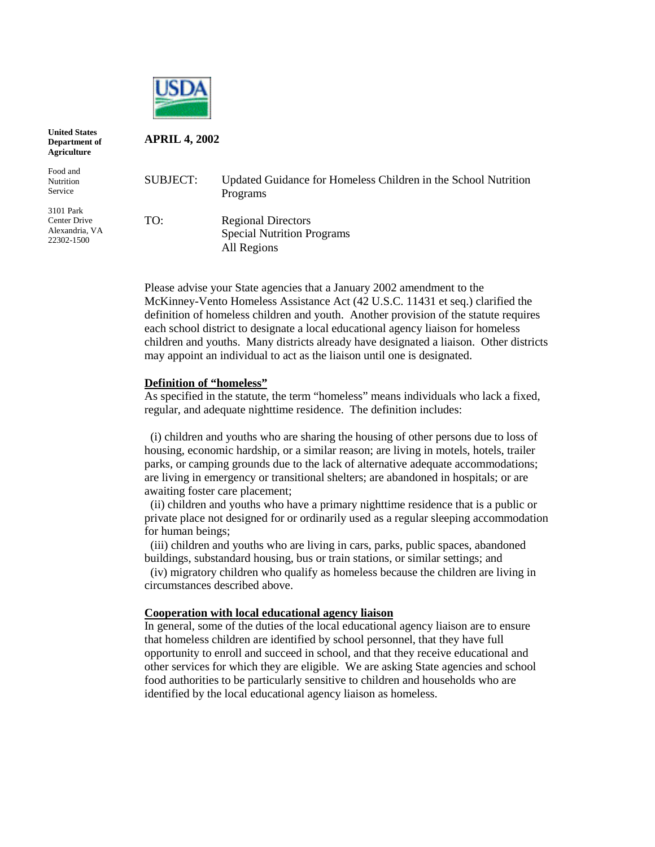

**APRIL 4, 2002**

**United States Department of Agriculture**

Food and Nutrition Service

3101 Park Center Drive Alexandria, VA 22302-1500

| SUBJECT: | Updated Guidance for Homeless Children in the School Nutrition<br>Programs    |
|----------|-------------------------------------------------------------------------------|
| TO:      | <b>Regional Directors</b><br><b>Special Nutrition Programs</b><br>All Regions |

Please advise your State agencies that a January 2002 amendment to the McKinney-Vento Homeless Assistance Act (42 U.S.C. 11431 et seq.) clarified the definition of homeless children and youth. Another provision of the statute requires each school district to designate a local educational agency liaison for homeless children and youths. Many districts already have designated a liaison. Other districts may appoint an individual to act as the liaison until one is designated.

# **Definition of "homeless"**

As specified in the statute, the term "homeless" means individuals who lack a fixed, regular, and adequate nighttime residence. The definition includes:

 (i) children and youths who are sharing the housing of other persons due to loss of housing, economic hardship, or a similar reason; are living in motels, hotels, trailer parks, or camping grounds due to the lack of alternative adequate accommodations; are living in emergency or transitional shelters; are abandoned in hospitals; or are awaiting foster care placement;

 (ii) children and youths who have a primary nighttime residence that is a public or private place not designed for or ordinarily used as a regular sleeping accommodation for human beings;

 (iii) children and youths who are living in cars, parks, public spaces, abandoned buildings, substandard housing, bus or train stations, or similar settings; and

 (iv) migratory children who qualify as homeless because the children are living in circumstances described above.

# **Cooperation with local educational agency liaison**

In general, some of the duties of the local educational agency liaison are to ensure that homeless children are identified by school personnel, that they have full opportunity to enroll and succeed in school, and that they receive educational and other services for which they are eligible. We are asking State agencies and school food authorities to be particularly sensitive to children and households who are identified by the local educational agency liaison as homeless.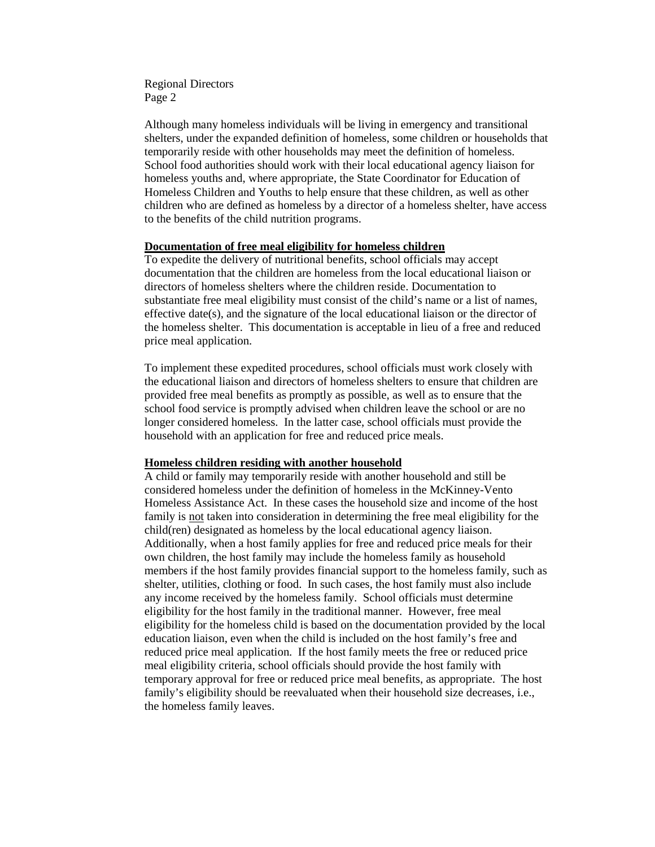Regional Directors Page 2

Although many homeless individuals will be living in emergency and transitional shelters, under the expanded definition of homeless, some children or households that temporarily reside with other households may meet the definition of homeless. School food authorities should work with their local educational agency liaison for homeless youths and, where appropriate, the State Coordinator for Education of Homeless Children and Youths to help ensure that these children, as well as other children who are defined as homeless by a director of a homeless shelter, have access to the benefits of the child nutrition programs.

### **Documentation of free meal eligibility for homeless children**

To expedite the delivery of nutritional benefits, school officials may accept documentation that the children are homeless from the local educational liaison or directors of homeless shelters where the children reside. Documentation to substantiate free meal eligibility must consist of the child's name or a list of names, effective date(s), and the signature of the local educational liaison or the director of the homeless shelter. This documentation is acceptable in lieu of a free and reduced price meal application.

To implement these expedited procedures, school officials must work closely with the educational liaison and directors of homeless shelters to ensure that children are provided free meal benefits as promptly as possible, as well as to ensure that the school food service is promptly advised when children leave the school or are no longer considered homeless. In the latter case, school officials must provide the household with an application for free and reduced price meals.

#### **Homeless children residing with another household**

A child or family may temporarily reside with another household and still be considered homeless under the definition of homeless in the McKinney-Vento Homeless Assistance Act. In these cases the household size and income of the host family is not taken into consideration in determining the free meal eligibility for the child(ren) designated as homeless by the local educational agency liaison. Additionally, when a host family applies for free and reduced price meals for their own children, the host family may include the homeless family as household members if the host family provides financial support to the homeless family, such as shelter, utilities, clothing or food. In such cases, the host family must also include any income received by the homeless family. School officials must determine eligibility for the host family in the traditional manner. However, free meal eligibility for the homeless child is based on the documentation provided by the local education liaison, even when the child is included on the host family's free and reduced price meal application. If the host family meets the free or reduced price meal eligibility criteria, school officials should provide the host family with temporary approval for free or reduced price meal benefits, as appropriate. The host family's eligibility should be reevaluated when their household size decreases, i.e., the homeless family leaves.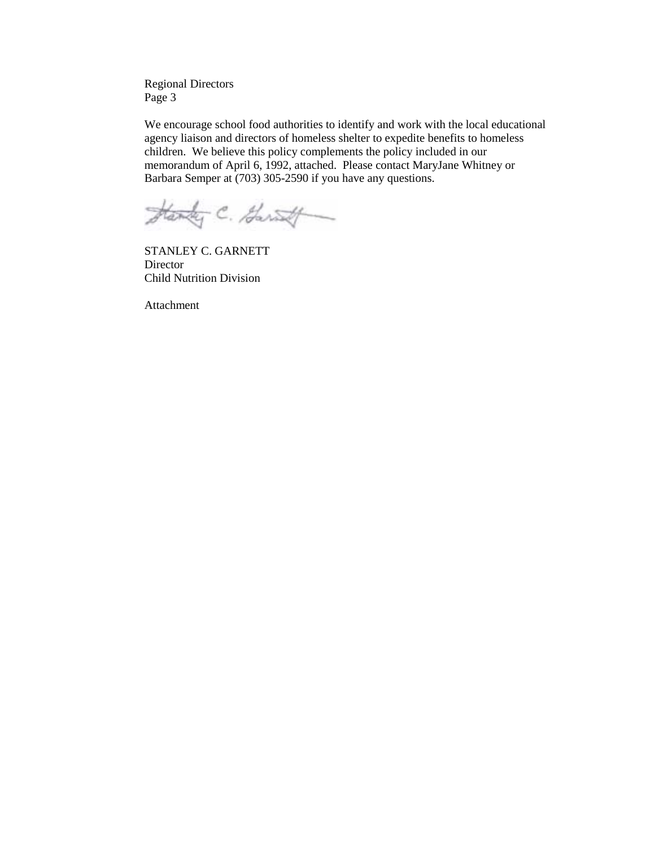Regional Directors Page 3

We encourage school food authorities to identify and work with the local educational agency liaison and directors of homeless shelter to expedite benefits to homeless children. We believe this policy complements the policy included in our memorandum of April 6, 1992, attached. Please contact MaryJane Whitney or Barbara Semper at (703) 305-2590 if you have any questions.

Handy C. Garatt

STANLEY C. GARNETT Director Child Nutrition Division

Attachment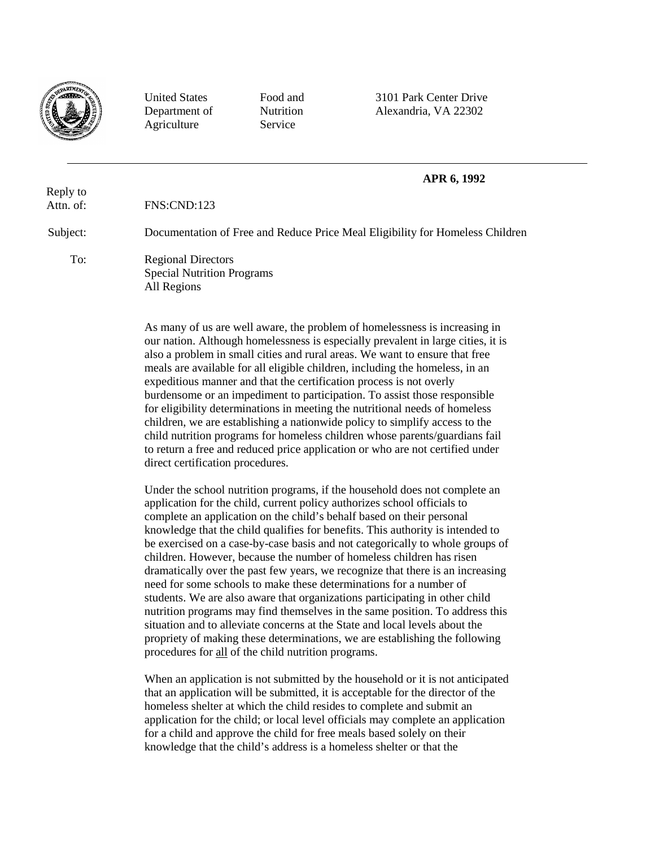

Reply to

To:

Agriculture Service

United States Food and 3101 Park Center Drive Department of Nutrition Alexandria, VA 22302

# **APR 6, 1992**

Attn. of: FNS:CND:123

Subject: Documentation of Free and Reduce Price Meal Eligibility for Homeless Children

> Regional Directors Special Nutrition Programs All Regions

> > As many of us are well aware, the problem of homelessness is increasing in our nation. Although homelessness is especially prevalent in large cities, it is also a problem in small cities and rural areas. We want to ensure that free meals are available for all eligible children, including the homeless, in an expeditious manner and that the certification process is not overly burdensome or an impediment to participation. To assist those responsible for eligibility determinations in meeting the nutritional needs of homeless children, we are establishing a nationwide policy to simplify access to the child nutrition programs for homeless children whose parents/guardians fail to return a free and reduced price application or who are not certified under direct certification procedures.

> > Under the school nutrition programs, if the household does not complete an application for the child, current policy authorizes school officials to complete an application on the child's behalf based on their personal knowledge that the child qualifies for benefits. This authority is intended to be exercised on a case-by-case basis and not categorically to whole groups of children. However, because the number of homeless children has risen dramatically over the past few years, we recognize that there is an increasing need for some schools to make these determinations for a number of students. We are also aware that organizations participating in other child nutrition programs may find themselves in the same position. To address this situation and to alleviate concerns at the State and local levels about the propriety of making these determinations, we are establishing the following procedures for all of the child nutrition programs.

> > When an application is not submitted by the household or it is not anticipated that an application will be submitted, it is acceptable for the director of the homeless shelter at which the child resides to complete and submit an application for the child; or local level officials may complete an application for a child and approve the child for free meals based solely on their knowledge that the child's address is a homeless shelter or that the